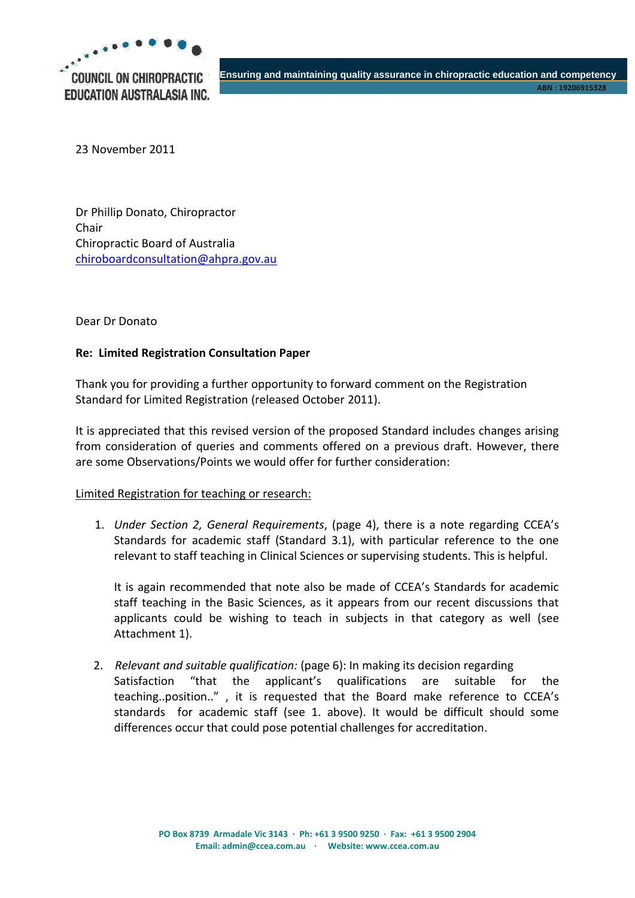

23 November 2011

Dr Phillip Donato, Chiropractor Chair Chiropractic Board of Australia [chiroboardconsultation@ahpra.gov.au](mailto:chiroboardconsultation@ahpra.gov.au)

Dear Dr Donato

## **Re: Limited Registration Consultation Paper**

Thank you for providing a further opportunity to forward comment on the Registration Standard for Limited Registration (released October 2011).

It is appreciated that this revised version of the proposed Standard includes changes arising from consideration of queries and comments offered on a previous draft. However, there are some Observations/Points we would offer for further consideration:

### Limited Registration for teaching or research:

1. *Under Section 2, General Requirements*, (page 4), there is a note regarding CCEA's Standards for academic staff (Standard 3.1), with particular reference to the one relevant to staff teaching in Clinical Sciences or supervising students. This is helpful.

It is again recommended that note also be made of CCEA's Standards for academic staff teaching in the Basic Sciences, as it appears from our recent discussions that applicants could be wishing to teach in subjects in that category as well (see Attachment 1).

2. *Relevant and suitable qualification:* (page 6): In making its decision regarding Satisfaction "that the applicant's qualifications are suitable for the teaching..position.." , it is requested that the Board make reference to CCEA's standards for academic staff (see 1. above). It would be difficult should some differences occur that could pose potential challenges for accreditation.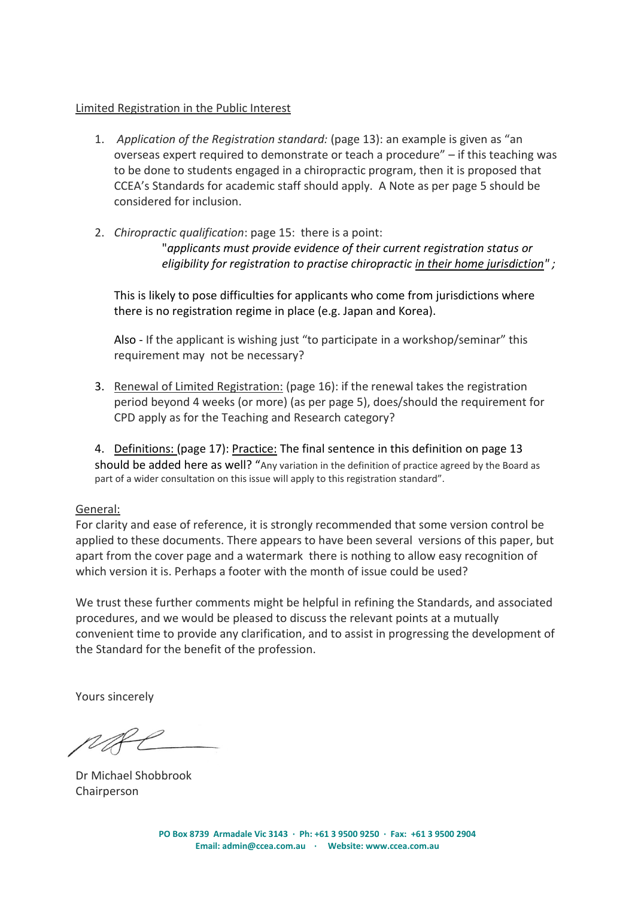## Limited Registration in the Public Interest

- 1. *Application of the Registration standard:* (page 13): an example is given as "an overseas expert required to demonstrate or teach a procedure" – if this teaching was to be done to students engaged in a chiropractic program, then it is proposed that CCEA's Standards for academic staff should apply. A Note as per page 5 should be considered for inclusion.
- 2. *Chiropractic qualification*: page 15: there is a point:

"*applicants must provide evidence of their current registration status or eligibility for registration to practise chiropractic in their home jurisdiction" ;*

This is likely to pose difficulties for applicants who come from jurisdictions where there is no registration regime in place (e.g. Japan and Korea).

Also - If the applicant is wishing just "to participate in a workshop/seminar" this requirement may not be necessary?

- 3. Renewal of Limited Registration: (page 16): if the renewal takes the registration period beyond 4 weeks (or more) (as per page 5), does/should the requirement for CPD apply as for the Teaching and Research category?
- 4. Definitions: (page 17): Practice: The final sentence in this definition on page 13 should be added here as well? "Any variation in the definition of practice agreed by the Board as part of a wider consultation on this issue will apply to this registration standard".

## General:

For clarity and ease of reference, it is strongly recommended that some version control be applied to these documents. There appears to have been several versions of this paper, but apart from the cover page and a watermark there is nothing to allow easy recognition of which version it is. Perhaps a footer with the month of issue could be used?

We trust these further comments might be helpful in refining the Standards, and associated procedures, and we would be pleased to discuss the relevant points at a mutually convenient time to provide any clarification, and to assist in progressing the development of the Standard for the benefit of the profession.

Yours sincerely

Dr Michael Shobbrook **Chairperson**